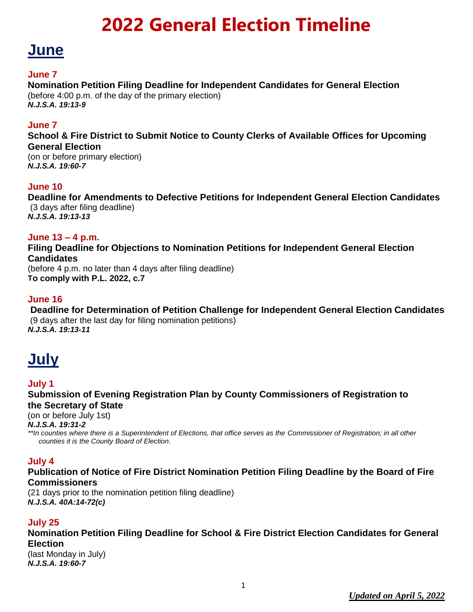### **June**

#### **June 7**

### **Nomination Petition Filing Deadline for Independent Candidates for General Election**

(before 4:00 p.m. of the day of the primary election) *N.J.S.A. 19:13-9*

#### **June 7**

**School & Fire District to Submit Notice to County Clerks of Available Offices for Upcoming General Election**

(on or before primary election) *N.J.S.A. 19:60-7*

#### **June 10**

**Deadline for Amendments to Defective Petitions for Independent General Election Candidates** (3 days after filing deadline) *N.J.S.A. 19:13-13*

#### **June 13 – 4 p.m.**

**Filing Deadline for Objections to Nomination Petitions for Independent General Election Candidates**

(before 4 p.m. no later than 4 days after filing deadline) **To comply with P.L. 2022, c.7**

#### **June 16**

**Deadline for Determination of Petition Challenge for Independent General Election Candidates** (9 days after the last day for filing nomination petitions) *N.J.S.A. 19:13-11*

### **July**

#### **July 1**

**Submission of Evening Registration Plan by County Commissioners of Registration to the Secretary of State**

(on or before July 1st)

*N.J.S.A. 19:31-2*

*\*\*In counties where there is a Superintendent of Elections, that office serves as the Commissioner of Registration; in all other counties it is the County Board of Election.*

#### **July 4**

**Publication of Notice of Fire District Nomination Petition Filing Deadline by the Board of Fire Commissioners**

(21 days prior to the nomination petition filing deadline) *N.J.S.A. 40A:14-72(c)*

#### **July 25**

**Nomination Petition Filing Deadline for School & Fire District Election Candidates for General Election** 

(last Monday in July) *N.J.S.A. 19:60-7*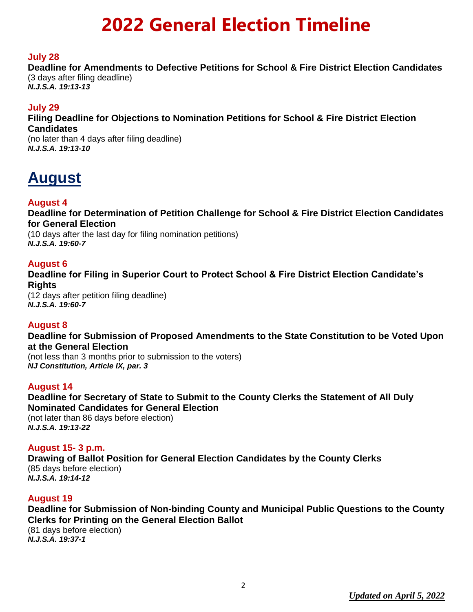#### **July 28**

**Deadline for Amendments to Defective Petitions for School & Fire District Election Candidates** (3 days after filing deadline) *N.J.S.A. 19:13-13*

#### **July 29**

**Filing Deadline for Objections to Nomination Petitions for School & Fire District Election Candidates**

(no later than 4 days after filing deadline) *N.J.S.A. 19:13-10*

### **August**

#### **August 4**

**Deadline for Determination of Petition Challenge for School & Fire District Election Candidates for General Election**

(10 days after the last day for filing nomination petitions) *N.J.S.A. 19:60-7*

#### **August 6**

**Deadline for Filing in Superior Court to Protect School & Fire District Election Candidate's Rights**

(12 days after petition filing deadline) *N.J.S.A. 19:60-7*

#### **August 8**

**Deadline for Submission of Proposed Amendments to the State Constitution to be Voted Upon at the General Election** 

(not less than 3 months prior to submission to the voters) *NJ Constitution, Article IX, par. 3*

#### **August 14**

**Deadline for Secretary of State to Submit to the County Clerks the Statement of All Duly Nominated Candidates for General Election** (not later than 86 days before election) *N.J.S.A. 19:13-22*

**August 15- 3 p.m. Drawing of Ballot Position for General Election Candidates by the County Clerks** (85 days before election) *N.J.S.A. 19:14-12*

#### **August 19**

**Deadline for Submission of Non-binding County and Municipal Public Questions to the County Clerks for Printing on the General Election Ballot** (81 days before election) *N.J.S.A. 19:37-1*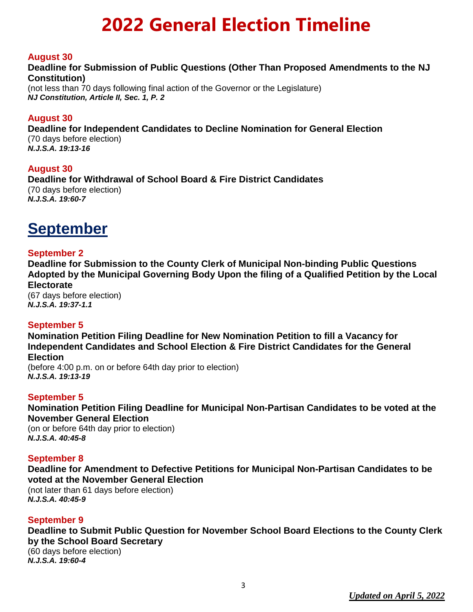#### **August 30**

#### **Deadline for Submission of Public Questions (Other Than Proposed Amendments to the NJ Constitution)**

(not less than 70 days following final action of the Governor or the Legislature) *NJ Constitution, Article II, Sec. 1, P. 2*

#### **August 30**

**Deadline for Independent Candidates to Decline Nomination for General Election** (70 days before election)

*N.J.S.A. 19:13-16*

#### **August 30**

**Deadline for Withdrawal of School Board & Fire District Candidates** (70 days before election) *N.J.S.A. 19:60-7*

### **September**

#### **September 2**

**Deadline for Submission to the County Clerk of Municipal Non-binding Public Questions Adopted by the Municipal Governing Body Upon the filing of a Qualified Petition by the Local Electorate**

(67 days before election) *N.J.S.A. 19:37-1.1*

#### **September 5**

**Nomination Petition Filing Deadline for New Nomination Petition to fill a Vacancy for Independent Candidates and School Election & Fire District Candidates for the General Election** (before 4:00 p.m. on or before 64th day prior to election)

*N.J.S.A. 19:13-19*

#### **September 5**

**Nomination Petition Filing Deadline for Municipal Non-Partisan Candidates to be voted at the November General Election** 

(on or before 64th day prior to election) *N.J.S.A. 40:45-8*

#### **September 8**

**Deadline for Amendment to Defective Petitions for Municipal Non-Partisan Candidates to be voted at the November General Election**

(not later than 61 days before election) *N.J.S.A. 40:45-9*

#### **September 9**

**Deadline to Submit Public Question for November School Board Elections to the County Clerk by the School Board Secretary** (60 days before election)

*N.J.S.A. 19:60-4*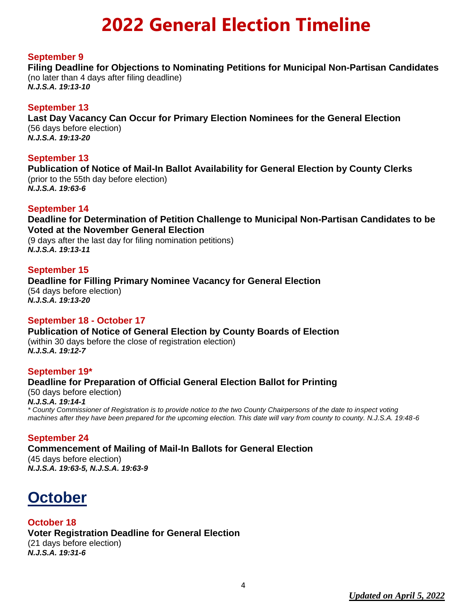#### **September 9**

**Filing Deadline for Objections to Nominating Petitions for Municipal Non-Partisan Candidates** (no later than 4 days after filing deadline)

*N.J.S.A. 19:13-10*

#### **September 13**

**Last Day Vacancy Can Occur for Primary Election Nominees for the General Election** (56 days before election) *N.J.S.A. 19:13-20*

#### **September 13**

**Publication of Notice of Mail-In Ballot Availability for General Election by County Clerks** (prior to the 55th day before election) *N.J.S.A. 19:63-6*

#### **September 14**

**Deadline for Determination of Petition Challenge to Municipal Non-Partisan Candidates to be Voted at the November General Election**

(9 days after the last day for filing nomination petitions) *N.J.S.A. 19:13-11*

#### **September 15**

**Deadline for Filling Primary Nominee Vacancy for General Election** (54 days before election) *N.J.S.A. 19:13-20*

#### **September 18 - October 17**

**Publication of Notice of General Election by County Boards of Election** (within 30 days before the close of registration election) *N.J.S.A. 19:12-7*

#### **September 19\***

**Deadline for Preparation of Official General Election Ballot for Printing** (50 days before election) *N.J.S.A. 19:14-1 \* County Commissioner of Registration is to provide notice to the two County Chairpersons of the date to inspect voting machines after they have been prepared for the upcoming election. This date will vary from county to county. N.J.S.A. 19:48-6*

#### **September 24**

**Commencement of Mailing of Mail-In Ballots for General Election** (45 days before election) *N.J.S.A. 19:63-5, N.J.S.A. 19:63-9*

### **October**

**October 18 Voter Registration Deadline for General Election** (21 days before election) *N.J.S.A. 19:31-6*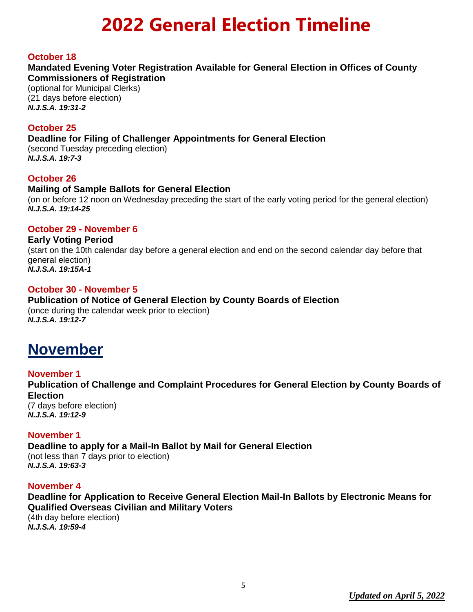#### **October 18**

#### **Mandated Evening Voter Registration Available for General Election in Offices of County Commissioners of Registration**

(optional for Municipal Clerks) (21 days before election) *N.J.S.A. 19:31-2*

#### **October 25**

#### **Deadline for Filing of Challenger Appointments for General Election**

(second Tuesday preceding election) *N.J.S.A. 19:7-3*

#### **October 26**

#### **Mailing of Sample Ballots for General Election**

(on or before 12 noon on Wednesday preceding the start of the early voting period for the general election) *N.J.S.A. 19:14-25*

#### **October 29 - November 6**

#### **Early Voting Period**

(start on the 10th calendar day before a general election and end on the second calendar day before that general election) *N.J.S.A. 19:15A-1*

#### **October 30 - November 5**

#### **Publication of Notice of General Election by County Boards of Election** (once during the calendar week prior to election)

*N.J.S.A. 19:12-7*

### **November**

#### **November 1**

**Publication of Challenge and Complaint Procedures for General Election by County Boards of Election**

(7 days before election) *N.J.S.A. 19:12-9*

#### **November 1**

**Deadline to apply for a Mail-In Ballot by Mail for General Election** (not less than 7 days prior to election) *N.J.S.A. 19:63-3*

#### **November 4**

**Deadline for Application to Receive General Election Mail-In Ballots by Electronic Means for Qualified Overseas Civilian and Military Voters** (4th day before election) *N.J.S.A. 19:59-4*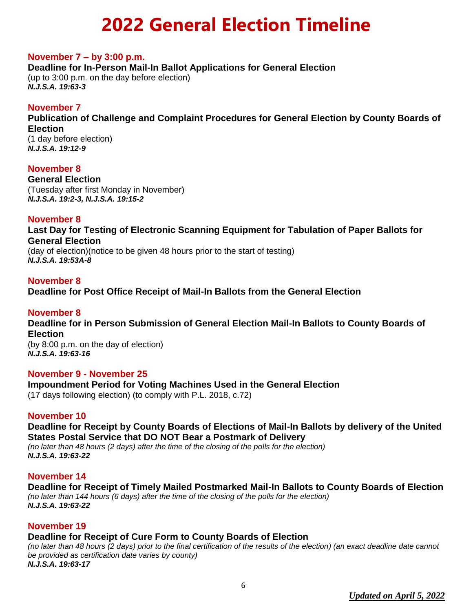#### **November 7 – by 3:00 p.m.**

**Deadline for In-Person Mail-In Ballot Applications for General Election** (up to 3:00 p.m. on the day before election) *N.J.S.A. 19:63-3*

#### **November 7**

**Publication of Challenge and Complaint Procedures for General Election by County Boards of Election**

(1 day before election) *N.J.S.A. 19:12-9*

#### **November 8**

**General Election**  (Tuesday after first Monday in November) *N.J.S.A. 19:2-3, N.J.S.A. 19:15-2*

#### **November 8**

**Last Day for Testing of Electronic Scanning Equipment for Tabulation of Paper Ballots for General Election**

(day of election)(notice to be given 48 hours prior to the start of testing) *N.J.S.A. 19:53A-8*

#### **November 8**

**Deadline for Post Office Receipt of Mail-In Ballots from the General Election**

#### **November 8**

**Deadline for in Person Submission of General Election Mail-In Ballots to County Boards of Election** (by 8:00 p.m. on the day of election) *N.J.S.A. 19:63-16*

**November 9 - November 25**

**Impoundment Period for Voting Machines Used in the General Election**

(17 days following election) (to comply with P.L. 2018, c.72)

#### **November 10**

**Deadline for Receipt by County Boards of Elections of Mail-In Ballots by delivery of the United States Postal Service that DO NOT Bear a Postmark of Delivery**

*(no later than 48 hours (2 days) after the time of the closing of the polls for the election) N.J.S.A. 19:63-22*

#### **November 14**

**Deadline for Receipt of Timely Mailed Postmarked Mail-In Ballots to County Boards of Election** *(no later than 144 hours (6 days) after the time of the closing of the polls for the election) N.J.S.A. 19:63-22*

#### **November 19**

#### **Deadline for Receipt of Cure Form to County Boards of Election**

*(no later than 48 hours (2 days) prior to the final certification of the results of the election) (an exact deadline date cannot be provided as certification date varies by county) N.J.S.A. 19:63-17*